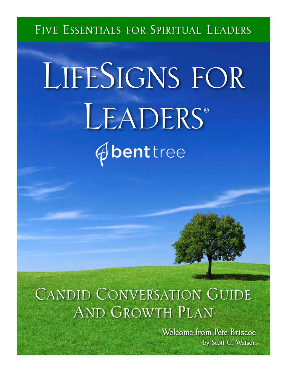## FIVE ESSENTIALS FOR SPIRITUAL LEADERS

# LIFESIGNS FOR LEADERS® *<u>Abenttree</u>*

# **CANDID CONVERSATION GUIDE AND GROWTH PLAN**

Welcome from Pete Briscoe by Scott C. Watson-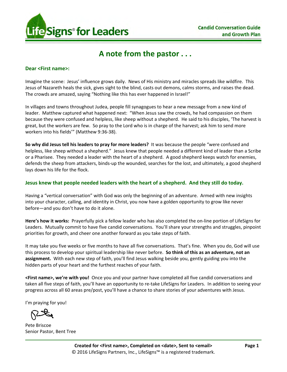

## **A note from the pastor . . .**

#### **Dear <First name>:**

Imagine the scene: Jesus' influence grows daily. News of His ministry and miracles spreads like wildfire. This Jesus of Nazareth heals the sick, gives sight to the blind, casts out demons, calms storms, and raises the dead. The crowds are amazed, saying "Nothing like this has ever happened in Israel!"

In villages and towns throughout Judea, people fill synagogues to hear a new message from a new kind of leader. Matthew captured what happened next: "When Jesus saw the crowds, he had compassion on them because they were confused and helpless, like sheep without a shepherd. He said to his disciples, 'The harvest is great, but the workers are few. So pray to the Lord who is in charge of the harvest; ask him to send more workers into his fields'" (Matthew 9:36-38).

**So why did Jesus tell his leaders to pray for more leaders?** It was because the people "were confused and helpless, like sheep without a shepherd." Jesus knew that people needed a different kind of leader than a Scribe or a Pharisee. They needed a leader with the heart of a shepherd. A good shepherd keeps watch for enemies, defends the sheep from attackers, binds-up the wounded, searches for the lost, and ultimately, a good shepherd lays down his life for the flock.

#### **Jesus knew that people needed leaders with the heart of a shepherd. And they still do today.**

Having a "vertical conversation" with God was only the beginning of an adventure. Armed with new insights into your character, calling, and identity in Christ, you now have a golden opportunity to grow like never before—and you don't have to do it alone.

**Here's how it works:** Prayerfully pick a fellow leader who has also completed the on-line portion of LifeSigns for Leaders. Mutually commit to have five candid conversations. You'll share your strengths and struggles, pinpoint priorities for growth, and cheer one another forward as you take steps of faith.

It may take you five weeks or five months to have all five conversations. That's fine. When you do, God will use this process to develop your spiritual leadership like never before. **So think of this as an adventure, not an assignment.** With each new step of faith, you'll find Jesus walking beside you, gently guiding you into the hidden parts of your heart and the furthest reaches of your faith.

**<First name>, we're with you!** Once you and your partner have completed all five candid conversations and taken all five steps of faith, you'll have an opportunity to re-take LifeSigns for Leaders. In addition to seeing your progress across all 60 areas pre/post, you'll have a chance to share stories of your adventures with Jesus.

I'm praying for you!

Pete Briscoe Senior Pastor, Bent Tree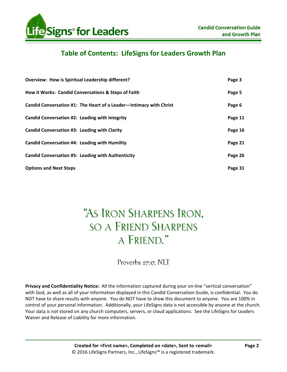

## **Table of Contents: LifeSigns for Leaders Growth Plan**

| <b>Overview: How is Spiritual Leadership different?</b>            | Page 3  |
|--------------------------------------------------------------------|---------|
| How it Works: Candid Conversations & Steps of Faith                | Page 5  |
| Candid Conversation #1: The Heart of a Leader-Intimacy with Christ | Page 6  |
| Candid Conversation #2: Leading with Integrity                     | Page 11 |
| Candid Conversation #3: Leading with Clarity                       | Page 16 |
| Candid Conversation #4: Leading with Humility                      | Page 21 |
| <b>Candid Conversation #5: Leading with Authenticity</b>           | Page 26 |
| <b>Options and Next Steps</b>                                      | Page 31 |

# "AS IRON SHARPENS IRON. **SO A FRIEND SHARPENS** A FRIEND."

Proverbs 27:17, NLT

**Privacy and Confidentiality Notice:** All the information captured during your on-line "vertical conversation" with God, as well as all of your information displayed in this Candid Conversation Guide, is confidential. You do NOT have to share results with anyone. You do NOT have to show this document to anyone. You are 100% in control of your personal information. Additionally, your LifeSigns data is not accessible by anyone at the church. Your data is not stored on any church computers, servers, or cloud applications. See the LifeSigns for Leaders Waiver and Release of Liability for more information.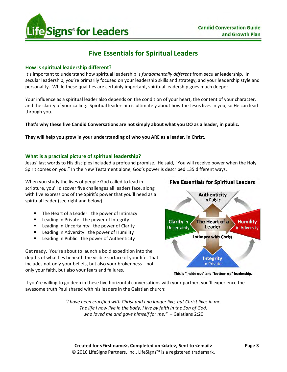

## **Five Essentials for Spiritual Leaders**

## **How is spiritual leadership different?**

It's important to understand how spiritual leadership is *fundamentally different* from secular leadership. In secular leadership, you're primarily focused on your leadership skills and strategy, and your leadership style and personality. While these qualities are certainly important, spiritual leadership goes much deeper.

Your influence as a spiritual leader also depends on the condition of your heart, the content of your character, and the clarity of your calling. Spiritual leadership is ultimately about how the Jesus lives in you, so He can lead through you.

**That's why these five Candid Conversations are not simply about what you DO as a leader, in public.** 

**They will help you grow in your understanding of who you ARE as a leader, in Christ.** 

## **What is a practical picture of spiritual leadership?**

Jesus' last words to His disciples included a profound promise. He said, "You will receive power when the Holy Spirit comes on you." In the New Testament alone, God's power is described 135 different ways.

When you study the lives of people God called to lead in scripture, you'll discover five challenges all leaders face, along with five expressions of the Spirit's power that you'll need as a spiritual leader (see right and below).

- The Heart of a Leader: the power of Intimacy
- Leading in Private: the power of Integrity
- Leading in Uncertainty: the power of Clarity
- **E** Leading in Adversity: the power of Humility
- **EXEC** Leading in Public: the power of Authenticity

Get ready. You're about to launch a bold expedition into the depths of what lies beneath the visible surface of your life. That includes not only your beliefs, but also your brokenness—not only your faith, but also your fears and failures.





This is "inside out" and "bottom up" leadership.

If you're willing to go deep in these five horizontal conversations with your partner, you'll experience the awesome truth Paul shared with his leaders in the Galatian church:

> *"I have been crucified with Christ and I no longer live, but Christ lives in me. The life I now live in the body, I live by faith in the Son of God, who loved me and gave himself for me."* – Galatians 2:20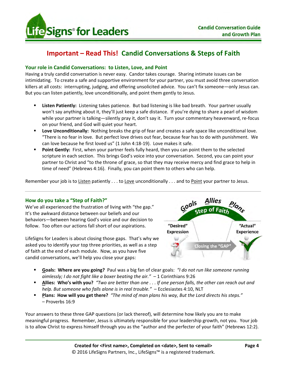

## **Important – Read This! Candid Conversations & Steps of Faith**

## **Your role in Candid Conversations: to Listen, Love, and Point**

Having a truly candid conversation is never easy. Candor takes courage. Sharing intimate issues can be intimidating. To create a safe and supportive environment for your partner, you must avoid three conversation killers at all costs: interrupting, judging, and offering unsolicited advice. You can't fix someone—only Jesus can. But you can listen patiently, love unconditionally, and point them gently to Jesus.

- **Listen Patiently:** Listening takes patience. But bad listening is like bad breath. Your partner usually won't say anything about it, they'll just keep a safe distance. If you're dying to share a pearl of wisdom while your partner is talking—silently pray it, don't say it. Turn your commentary heavenward, re-focus on your friend, and God will quiet your heart.
- **Love Unconditionally:** Nothing breaks the grip of fear and creates a safe space like unconditional love. "There is no fear in love. But perfect love drives out fear, because fear has to do with punishment. We can love because he first loved us" (1 John 4:18-19). Love makes it safe.
- **Point Gently:** First, when your partner feels fully heard, then you can point them to the selected scripture in each section. This brings God's voice into your conversation. Second, you can point your partner to Christ and "to the throne of grace, so that they may receive mercy and find grace to help in time of need" (Hebrews 4:16). Finally, you can point them to others who can help.

Remember your job is to Listen patiently . . . to Love unconditionally . . . and to Point your partner to Jesus.

## **How do you take a "Step of Faith?"**

We've all experienced the frustration of living with "the gap." It's the awkward distance between our beliefs and our behaviors—between hearing God's voice and our decision to follow. Too often our actions fall short of our aspirations.

LifeSigns for Leaders is about closing those gaps. That's why we asked you to identify your top three priorities, as well as a step of faith at the end of each module. Now, as you have five candid conversations, we'll help you close your gaps:



- **Goals: Where are you going?** Paul was a big fan of clear goals: *"I do not run like someone running aimlessly; I do not fight like a boxer beating the air."* – 1 Corinthians 9:26
- **Allies: Who's with you?** *"Two are better than one . . . If one person falls, the other can reach out and help. But someone who falls alone is in real trouble."* – Ecclesiastes 4:10, NLT
- **Plans: How will you get there?** *"The mind of man plans his way, But the Lord directs his steps."* – Proverbs 16:9

Your answers to these three GAP questions (or lack thereof), will determine how likely you are to make meaningful progress. Remember, Jesus is ultimately responsible for your leadership growth, not you. Your job is to allow Christ to express himself through you as the "author and the perfecter of your faith" (Hebrews 12:2).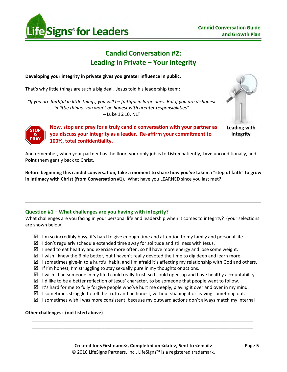

## **Candid Conversation #2: Leading in Private – Your Integrity**

## **Developing your integrity in private gives you greater influence in public.**

That's why little things are such a big deal. Jesus told his leadership team:

*"If you are faithful in little things, you will be faithful in large ones. But if you are dishonest in little things, you won't be honest with greater responsibilities"* – Luke 16:10, NLT



**Integrity** 



**Now, stop and pray for a truly candid conversation with your partner as Leading with you discuss your integrity as a leader. Re-affirm your commitment to 100%, total confidentiality.** 

And remember, when your partner has the floor, your only job is to **Listen** patiently, **Love** unconditionally, and **Point** them gently back to Christ.

**Before beginning this candid conversation, take a moment to share how you've taken a "step of faith" to grow in intimacy with Christ (from Conversation #1).** What have you LEARNED since you last met?

 $\overline{\phantom{a}}$  ,  $\overline{\phantom{a}}$  ,  $\overline{\phantom{a}}$  ,  $\overline{\phantom{a}}$  ,  $\overline{\phantom{a}}$  ,  $\overline{\phantom{a}}$  ,  $\overline{\phantom{a}}$  ,  $\overline{\phantom{a}}$  ,  $\overline{\phantom{a}}$  ,  $\overline{\phantom{a}}$  ,  $\overline{\phantom{a}}$  ,  $\overline{\phantom{a}}$  ,  $\overline{\phantom{a}}$  ,  $\overline{\phantom{a}}$  ,  $\overline{\phantom{a}}$  ,  $\overline{\phantom{a}}$ \_\_\_\_\_\_\_\_\_\_\_\_\_\_\_\_\_\_\_\_\_\_\_\_\_\_\_\_\_\_\_\_\_\_\_\_\_\_\_\_\_\_\_\_\_\_\_\_\_\_\_\_\_\_\_\_\_\_\_\_\_\_\_\_\_\_\_\_\_\_\_\_\_\_\_\_\_\_\_

## **Question #1 – What challenges are you having with integrity?**

What challenges are you facing in your personal life and leadership when it comes to integrity? (your selections are shown below)

- $\boxtimes$  I'm so incredibly busy, it's hard to give enough time and attention to my family and personal life.
- $\boxtimes$  I don't regularly schedule extended time away for solitude and stillness with Jesus.
- $\boxtimes$  I need to eat healthy and exercise more often, so I'll have more energy and lose some weight.
- $\boxtimes$  I wish I knew the Bible better, but I haven't really devoted the time to dig deep and learn more.
- $\boxtimes$  I sometimes give-in to a hurtful habit, and I'm afraid it's affecting my relationship with God and others.
- $\boxtimes$  If I'm honest, I'm struggling to stay sexually pure in my thoughts or actions.
- $\boxtimes$  I wish I had someone in my life I could really trust, so I could open-up and have healthy accountability.
- $\boxtimes$  I'd like to be a better reflection of Jesus' character, to be someone that people want to follow.
- $\boxtimes$  It's hard for me to fully forgive people who've hurt me deeply, playing it over and over in my mind.
- $\boxtimes$  I sometimes struggle to tell the truth and be honest, without shaping it or leaving something out.

 $\overline{\phantom{a}}$  , and the contribution of the contribution of the contribution of the contribution of the contribution of the contribution of the contribution of the contribution of the contribution of the contribution of the \_\_\_\_\_\_\_\_\_\_\_\_\_\_\_\_\_\_\_\_\_\_\_\_\_\_\_\_\_\_\_\_\_\_\_\_\_\_\_\_\_\_\_\_\_\_\_\_\_\_\_\_\_\_\_\_\_\_\_\_\_\_\_\_\_\_\_\_\_\_\_\_\_\_\_\_\_\_\_

 $\boxtimes$  I sometimes wish I was more consistent, because my outward actions don't always match my internal

#### **Other challenges: (not listed above)**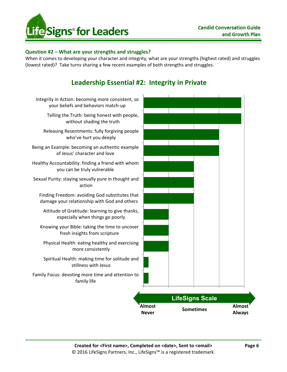

## **Question #2 – What are your strengths and struggles?**

When it comes to developing your character and integrity, what are your strengths (highest rated) and struggles (lowest rated)? Take turns sharing a few recent examples of both strengths and struggles.



## **Leadership Essential #2: Integrity in Private**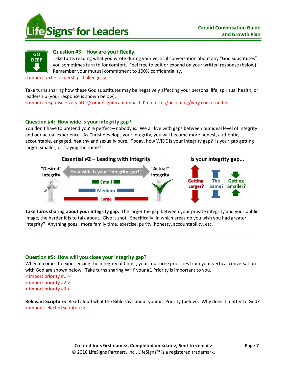



#### **Question #3 – How are you? Really.**

Take turns reading what you wrote during your vertical conversation about any "God substitutes" you sometimes turn to for comfort. Feel free to edit or expand on your written response (below). Remember your mutual commitment to 100% confidentiality.

< import text – leadership challenges >

Take turns sharing how these God substitutes may be negatively affecting your personal life, spiritual health, or leadership (your response is shown below).

< import response – very little/some/significant impact, I'm not too/becoming/very concerned >

## **Question #4: How wide is your integrity gap?**

You don't have to pretend you're perfect—nobody is. We all live with gaps between our ideal level of integrity and our actual experience. As Christ develops your integrity, you will become more honest, authentic, accountable, engaged, healthy and sexually pure. Today, how WIDE is your integrity gap? Is your gap getting larger, smaller, or staying the same?



**Take turns sharing about your integrity gap.** The larger the gap between your private integrity and your public image, the harder it is to talk about. Give it shot. Specifically, in which areas do you wish you had greater integrity? Anything goes: more family time, exercise, purity, honesty, accountability, etc.

 $\overline{\phantom{a}}$  , and the contribution of the contribution of the contribution of the contribution of the contribution of the contribution of the contribution of the contribution of the contribution of the contribution of the \_\_\_\_\_\_\_\_\_\_\_\_\_\_\_\_\_\_\_\_\_\_\_\_\_\_\_\_\_\_\_\_\_\_\_\_\_\_\_\_\_\_\_\_\_\_\_\_\_\_\_\_\_\_\_\_\_\_\_\_\_\_\_\_\_\_\_\_\_\_\_\_\_\_\_\_\_\_\_

## **Question #5: How will you close your integrity gap?**

When it comes to experiencing the integrity of Christ, your top three priorities from your vertical conversation with God are shown below. Take turns sharing WHY your #1 Priority is important to you.

- < import priority #1 >
- < import priority #2 >
- < import priority #3 >

**Relevant Scripture:** Read aloud what the Bible says about your #1 Priority (below). Why does it matter to God? < import selected scripture >